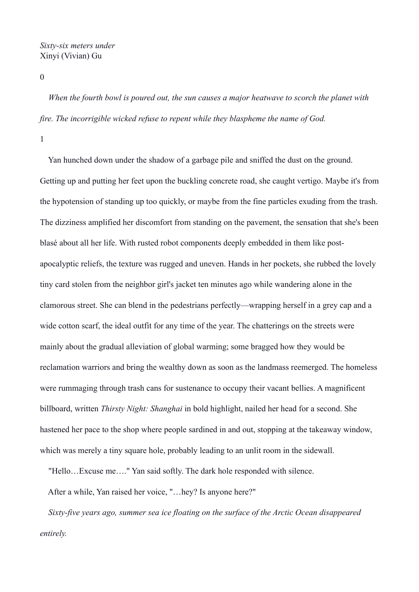## *Sixty-six meters under* Xinyi (Vivian) Gu

0

 *When the fourth bowl is poured out, the sun causes a major heatwave to scorch the planet with fire. The incorrigible wicked refuse to repent while they blaspheme the name of God.*

1

 Yan hunched down under the shadow of a garbage pile and sniffed the dust on the ground. Getting up and putting her feet upon the buckling concrete road, she caught vertigo. Maybe it's from the hypotension of standing up too quickly, or maybe from the fine particles exuding from the trash. The dizziness amplified her discomfort from standing on the pavement, the sensation that she's been blasé about all her life. With rusted robot components deeply embedded in them like postapocalyptic reliefs, the texture was rugged and uneven. Hands in her pockets, she rubbed the lovely tiny card stolen from the neighbor girl's jacket ten minutes ago while wandering alone in the clamorous street. She can blend in the pedestrians perfectly—wrapping herself in a grey cap and a wide cotton scarf, the ideal outfit for any time of the year. The chatterings on the streets were mainly about the gradual alleviation of global warming; some bragged how they would be reclamation warriors and bring the wealthy down as soon as the landmass reemerged. The homeless were rummaging through trash cans for sustenance to occupy their vacant bellies. A magnificent billboard, written *Thirsty Night: Shanghai* in bold highlight, nailed her head for a second. She hastened her pace to the shop where people sardined in and out, stopping at the takeaway window, which was merely a tiny square hole, probably leading to an unlit room in the sidewall.

"Hello…Excuse me…." Yan said softly. The dark hole responded with silence.

After a while, Yan raised her voice, "…hey? Is anyone here?"

 *Sixty-five years ago, summer sea ice floating on the surface of the Arctic Ocean disappeared entirely.*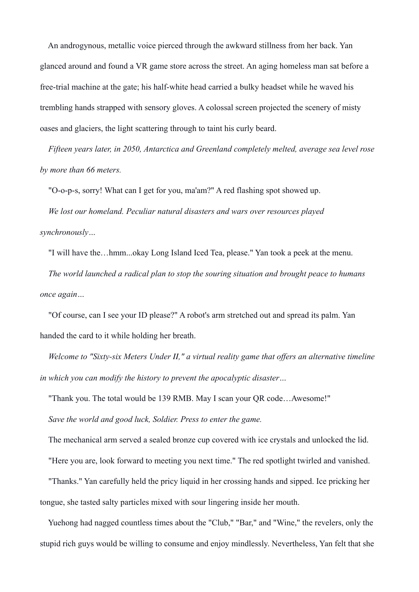An androgynous, metallic voice pierced through the awkward stillness from her back. Yan glanced around and found a VR game store across the street. An aging homeless man sat before a free-trial machine at the gate; his half-white head carried a bulky headset while he waved his trembling hands strapped with sensory gloves. A colossal screen projected the scenery of misty oases and glaciers, the light scattering through to taint his curly beard.

 *Fifteen years later, in 2050, Antarctica and Greenland completely melted, average sea level rose by more than 66 meters.*

"O-o-p-s, sorry! What can I get for you, ma'am?" A red flashing spot showed up.

 *We lost our homeland. Peculiar natural disasters and wars over resources played synchronously…* 

 "I will have the…hmm...okay Long Island Iced Tea, please." Yan took a peek at the menu. *The world launched a radical plan to stop the souring situation and brought peace to humans* 

*once again…*

 "Of course, can I see your ID please?" A robot's arm stretched out and spread its palm. Yan handed the card to it while holding her breath.

 *Welcome to "Sixty-six Meters Under Ⅱ," a virtual reality game that offers an alternative timeline in which you can modify the history to prevent the apocalyptic disaster…*

"Thank you. The total would be 139 RMB. May I scan your QR code…Awesome!"

*Save the world and good luck, Soldier. Press to enter the game.*

The mechanical arm served a sealed bronze cup covered with ice crystals and unlocked the lid.

"Here you are, look forward to meeting you next time." The red spotlight twirled and vanished.

 "Thanks." Yan carefully held the pricy liquid in her crossing hands and sipped. Ice pricking her tongue, she tasted salty particles mixed with sour lingering inside her mouth.

 Yuehong had nagged countless times about the "Club," "Bar," and "Wine," the revelers, only the stupid rich guys would be willing to consume and enjoy mindlessly. Nevertheless, Yan felt that she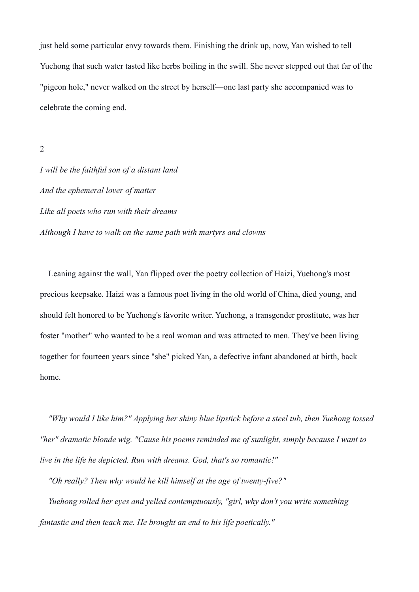just held some particular envy towards them. Finishing the drink up, now, Yan wished to tell Yuehong that such water tasted like herbs boiling in the swill. She never stepped out that far of the "pigeon hole," never walked on the street by herself—one last party she accompanied was to celebrate the coming end.

2

*I will be the faithful son of a distant land And the ephemeral lover of matter Like all poets who run with their dreams Although I have to walk on the same path with martyrs and clowns* 

 Leaning against the wall, Yan flipped over the poetry collection of Haizi, Yuehong's most precious keepsake. Haizi was a famous poet living in the old world of China, died young, and should felt honored to be Yuehong's favorite writer. Yuehong, a transgender prostitute, was her foster "mother" who wanted to be a real woman and was attracted to men. They've been living together for fourteen years since "she" picked Yan, a defective infant abandoned at birth, back home.

 *"Why would I like him?" Applying her shiny blue lipstick before a steel tub, then Yuehong tossed "her" dramatic blonde wig. "Cause his poems reminded me of sunlight, simply because I want to live in the life he depicted. Run with dreams. God, that's so romantic!"*

 *"Oh really? Then why would he kill himself at the age of twenty-five?" Yuehong rolled her eyes and yelled contemptuously, "girl, why don't you write something fantastic and then teach me. He brought an end to his life poetically."*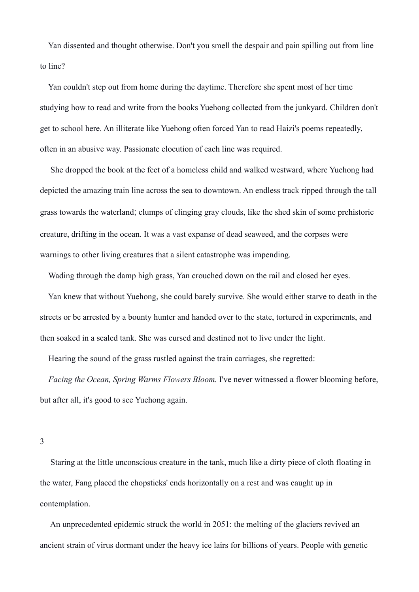Yan dissented and thought otherwise. Don't you smell the despair and pain spilling out from line to line?

 Yan couldn't step out from home during the daytime. Therefore she spent most of her time studying how to read and write from the books Yuehong collected from the junkyard. Children don't get to school here. An illiterate like Yuehong often forced Yan to read Haizi's poems repeatedly, often in an abusive way. Passionate elocution of each line was required.

 She dropped the book at the feet of a homeless child and walked westward, where Yuehong had depicted the amazing train line across the sea to downtown. An endless track ripped through the tall grass towards the waterland: clumps of clinging gray clouds, like the shed skin of some prehistoric creature, drifting in the ocean. It was a vast expanse of dead seaweed, and the corpses were warnings to other living creatures that a silent catastrophe was impending.

Wading through the damp high grass, Yan crouched down on the rail and closed her eyes.

 Yan knew that without Yuehong, she could barely survive. She would either starve to death in the streets or be arrested by a bounty hunter and handed over to the state, tortured in experiments, and then soaked in a sealed tank. She was cursed and destined not to live under the light.

Hearing the sound of the grass rustled against the train carriages, she regretted:

 *Facing the Ocean, Spring Warms Flowers Bloom.* I've never witnessed a flower blooming before, but after all, it's good to see Yuehong again.

3

 Staring at the little unconscious creature in the tank, much like a dirty piece of cloth floating in the water, Fang placed the chopsticks' ends horizontally on a rest and was caught up in contemplation.

 An unprecedented epidemic struck the world in 2051: the melting of the glaciers revived an ancient strain of virus dormant under the heavy ice lairs for billions of years. People with genetic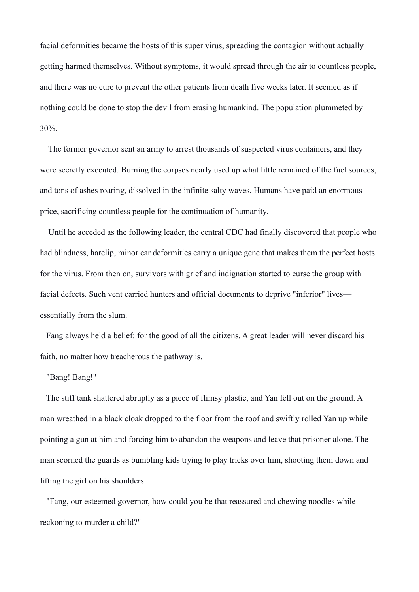facial deformities became the hosts of this super virus, spreading the contagion without actually getting harmed themselves. Without symptoms, it would spread through the air to countless people, and there was no cure to prevent the other patients from death five weeks later. It seemed as if nothing could be done to stop the devil from erasing humankind. The population plummeted by 30%.

 The former governor sent an army to arrest thousands of suspected virus containers, and they were secretly executed. Burning the corpses nearly used up what little remained of the fuel sources, and tons of ashes roaring, dissolved in the infinite salty waves. Humans have paid an enormous price, sacrificing countless people for the continuation of humanity.

 Until he acceded as the following leader, the central CDC had finally discovered that people who had blindness, harelip, minor ear deformities carry a unique gene that makes them the perfect hosts for the virus. From then on, survivors with grief and indignation started to curse the group with facial defects. Such vent carried hunters and official documents to deprive "inferior" lives essentially from the slum.

 Fang always held a belief: for the good of all the citizens. A great leader will never discard his faith, no matter how treacherous the pathway is.

## "Bang! Bang!"

 The stiff tank shattered abruptly as a piece of flimsy plastic, and Yan fell out on the ground. A man wreathed in a black cloak dropped to the floor from the roof and swiftly rolled Yan up while pointing a gun at him and forcing him to abandon the weapons and leave that prisoner alone. The man scorned the guards as bumbling kids trying to play tricks over him, shooting them down and lifting the girl on his shoulders.

 "Fang, our esteemed governor, how could you be that reassured and chewing noodles while reckoning to murder a child?"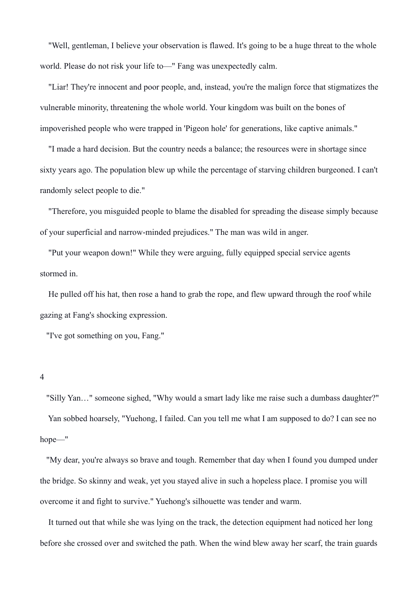"Well, gentleman, I believe your observation is flawed. It's going to be a huge threat to the whole world. Please do not risk your life to—" Fang was unexpectedly calm.

 "Liar! They're innocent and poor people, and, instead, you're the malign force that stigmatizes the vulnerable minority, threatening the whole world. Your kingdom was built on the bones of impoverished people who were trapped in 'Pigeon hole' for generations, like captive animals."

 "I made a hard decision. But the country needs a balance; the resources were in shortage since sixty years ago. The population blew up while the percentage of starving children burgeoned. I can't randomly select people to die."

 "Therefore, you misguided people to blame the disabled for spreading the disease simply because of your superficial and narrow-minded prejudices." The man was wild in anger.

 "Put your weapon down!" While they were arguing, fully equipped special service agents stormed in.

 He pulled off his hat, then rose a hand to grab the rope, and flew upward through the roof while gazing at Fang's shocking expression.

"I've got something on you, Fang."

4

 "Silly Yan…" someone sighed, "Why would a smart lady like me raise such a dumbass daughter?" Yan sobbed hoarsely, "Yuehong, I failed. Can you tell me what I am supposed to do? I can see no hope—"

 "My dear, you're always so brave and tough. Remember that day when I found you dumped under the bridge. So skinny and weak, yet you stayed alive in such a hopeless place. I promise you will overcome it and fight to survive." Yuehong's silhouette was tender and warm.

 It turned out that while she was lying on the track, the detection equipment had noticed her long before she crossed over and switched the path. When the wind blew away her scarf, the train guards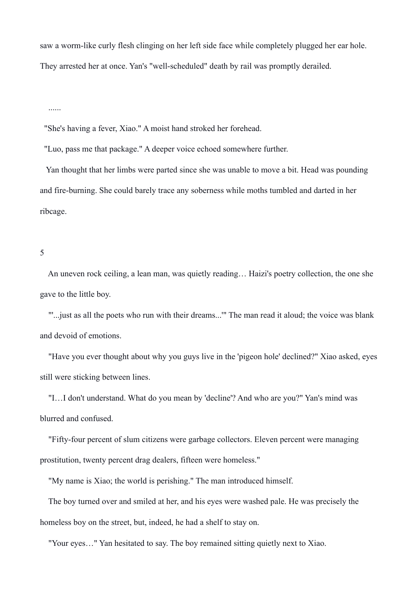saw a worm-like curly flesh clinging on her left side face while completely plugged her ear hole. They arrested her at once. Yan's "well-scheduled" death by rail was promptly derailed.

......

"She's having a fever, Xiao." A moist hand stroked her forehead.

"Luo, pass me that package." A deeper voice echoed somewhere further.

 Yan thought that her limbs were parted since she was unable to move a bit. Head was pounding and fire-burning. She could barely trace any soberness while moths tumbled and darted in her ribcage.

5

 An uneven rock ceiling, a lean man, was quietly reading… Haizi's poetry collection, the one she gave to the little boy.

 "'...just as all the poets who run with their dreams...'" The man read it aloud; the voice was blank and devoid of emotions.

 "Have you ever thought about why you guys live in the 'pigeon hole' declined?" Xiao asked, eyes still were sticking between lines.

 "I…I don't understand. What do you mean by 'decline'? And who are you?" Yan's mind was blurred and confused.

 "Fifty-four percent of slum citizens were garbage collectors. Eleven percent were managing prostitution, twenty percent drag dealers, fifteen were homeless."

"My name is Xiao; the world is perishing." The man introduced himself.

 The boy turned over and smiled at her, and his eyes were washed pale. He was precisely the homeless boy on the street, but, indeed, he had a shelf to stay on.

"Your eyes…" Yan hesitated to say. The boy remained sitting quietly next to Xiao.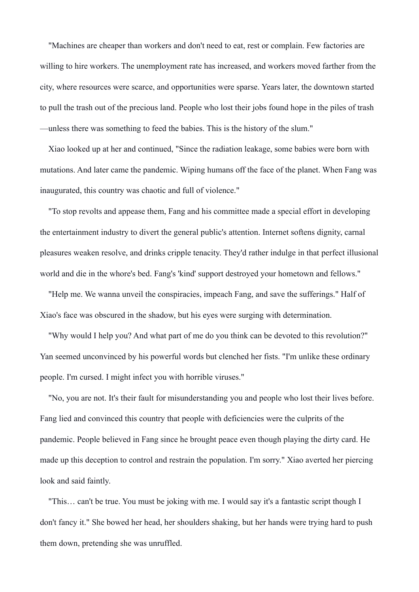"Machines are cheaper than workers and don't need to eat, rest or complain. Few factories are willing to hire workers. The unemployment rate has increased, and workers moved farther from the city, where resources were scarce, and opportunities were sparse. Years later, the downtown started to pull the trash out of the precious land. People who lost their jobs found hope in the piles of trash —unless there was something to feed the babies. This is the history of the slum."

 Xiao looked up at her and continued, "Since the radiation leakage, some babies were born with mutations. And later came the pandemic. Wiping humans off the face of the planet. When Fang was inaugurated, this country was chaotic and full of violence."

 "To stop revolts and appease them, Fang and his committee made a special effort in developing the entertainment industry to divert the general public's attention. Internet softens dignity, carnal pleasures weaken resolve, and drinks cripple tenacity. They'd rather indulge in that perfect illusional world and die in the whore's bed. Fang's 'kind' support destroyed your hometown and fellows."

 "Help me. We wanna unveil the conspiracies, impeach Fang, and save the sufferings." Half of Xiao's face was obscured in the shadow, but his eyes were surging with determination.

 "Why would I help you? And what part of me do you think can be devoted to this revolution?" Yan seemed unconvinced by his powerful words but clenched her fists. "I'm unlike these ordinary people. I'm cursed. I might infect you with horrible viruses."

 "No, you are not. It's their fault for misunderstanding you and people who lost their lives before. Fang lied and convinced this country that people with deficiencies were the culprits of the pandemic. People believed in Fang since he brought peace even though playing the dirty card. He made up this deception to control and restrain the population. I'm sorry." Xiao averted her piercing look and said faintly.

 "This… can't be true. You must be joking with me. I would say it's a fantastic script though I don't fancy it." She bowed her head, her shoulders shaking, but her hands were trying hard to push them down, pretending she was unruffled.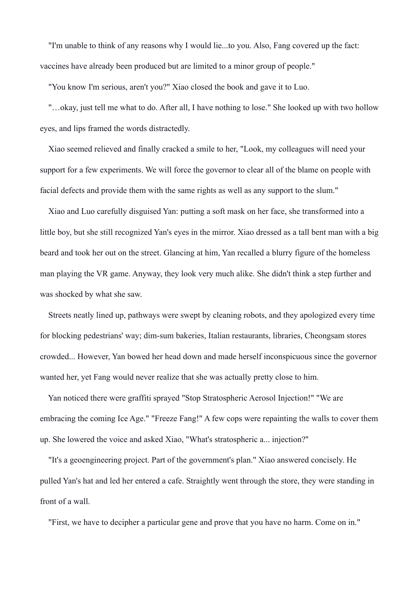"I'm unable to think of any reasons why I would lie...to you. Also, Fang covered up the fact: vaccines have already been produced but are limited to a minor group of people."

"You know I'm serious, aren't you?" Xiao closed the book and gave it to Luo.

 "…okay, just tell me what to do. After all, I have nothing to lose." She looked up with two hollow eyes, and lips framed the words distractedly.

 Xiao seemed relieved and finally cracked a smile to her, "Look, my colleagues will need your support for a few experiments. We will force the governor to clear all of the blame on people with facial defects and provide them with the same rights as well as any support to the slum."

 Xiao and Luo carefully disguised Yan: putting a soft mask on her face, she transformed into a little boy, but she still recognized Yan's eyes in the mirror. Xiao dressed as a tall bent man with a big beard and took her out on the street. Glancing at him, Yan recalled a blurry figure of the homeless man playing the VR game. Anyway, they look very much alike. She didn't think a step further and was shocked by what she saw.

 Streets neatly lined up, pathways were swept by cleaning robots, and they apologized every time for blocking pedestrians' way; dim-sum bakeries, Italian restaurants, libraries, Cheongsam stores crowded... However, Yan bowed her head down and made herself inconspicuous since the governor wanted her, yet Fang would never realize that she was actually pretty close to him.

 Yan noticed there were graffiti sprayed "Stop Stratospheric Aerosol Injection!" "We are embracing the coming Ice Age." "Freeze Fang!" A few cops were repainting the walls to cover them up. She lowered the voice and asked Xiao, "What's stratospheric a... injection?"

 "It's a geoengineering project. Part of the government's plan." Xiao answered concisely. He pulled Yan's hat and led her entered a cafe. Straightly went through the store, they were standing in front of a wall.

"First, we have to decipher a particular gene and prove that you have no harm. Come on in."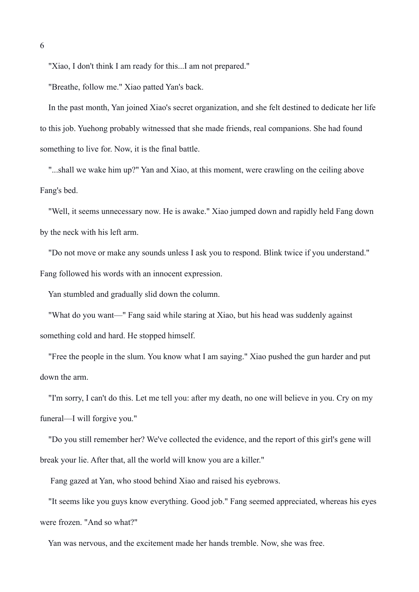"Xiao, I don't think I am ready for this...I am not prepared."

"Breathe, follow me." Xiao patted Yan's back.

 In the past month, Yan joined Xiao's secret organization, and she felt destined to dedicate her life to this job. Yuehong probably witnessed that she made friends, real companions. She had found something to live for. Now, it is the final battle.

"...shall we wake him up?" Yan and Xiao, at this moment, were crawling on the ceiling above Fang's bed.

 "Well, it seems unnecessary now. He is awake." Xiao jumped down and rapidly held Fang down by the neck with his left arm.

 "Do not move or make any sounds unless I ask you to respond. Blink twice if you understand." Fang followed his words with an innocent expression.

Yan stumbled and gradually slid down the column.

 "What do you want—" Fang said while staring at Xiao, but his head was suddenly against something cold and hard. He stopped himself.

 "Free the people in the slum. You know what I am saying." Xiao pushed the gun harder and put down the arm.

 "I'm sorry, I can't do this. Let me tell you: after my death, no one will believe in you. Cry on my funeral—I will forgive you."

 "Do you still remember her? We've collected the evidence, and the report of this girl's gene will break your lie. After that, all the world will know you are a killer."

Fang gazed at Yan, who stood behind Xiao and raised his eyebrows.

 "It seems like you guys know everything. Good job." Fang seemed appreciated, whereas his eyes were frozen. "And so what?"

Yan was nervous, and the excitement made her hands tremble. Now, she was free.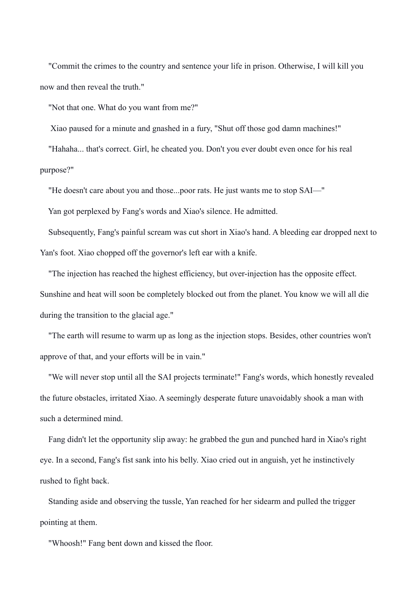"Commit the crimes to the country and sentence your life in prison. Otherwise, I will kill you now and then reveal the truth."

"Not that one. What do you want from me?"

Xiao paused for a minute and gnashed in a fury, "Shut off those god damn machines!"

 "Hahaha... that's correct. Girl, he cheated you. Don't you ever doubt even once for his real purpose?"

"He doesn't care about you and those...poor rats. He just wants me to stop SAI—"

Yan got perplexed by Fang's words and Xiao's silence. He admitted.

 Subsequently, Fang's painful scream was cut short in Xiao's hand. A bleeding ear dropped next to Yan's foot. Xiao chopped off the governor's left ear with a knife.

 "The injection has reached the highest efficiency, but over-injection has the opposite effect. Sunshine and heat will soon be completely blocked out from the planet. You know we will all die during the transition to the glacial age."

 "The earth will resume to warm up as long as the injection stops. Besides, other countries won't approve of that, and your efforts will be in vain."

 "We will never stop until all the SAI projects terminate!" Fang's words, which honestly revealed the future obstacles, irritated Xiao. A seemingly desperate future unavoidably shook a man with such a determined mind.

 Fang didn't let the opportunity slip away: he grabbed the gun and punched hard in Xiao's right eye. In a second, Fang's fist sank into his belly. Xiao cried out in anguish, yet he instinctively rushed to fight back.

 Standing aside and observing the tussle, Yan reached for her sidearm and pulled the trigger pointing at them.

"Whoosh!" Fang bent down and kissed the floor.